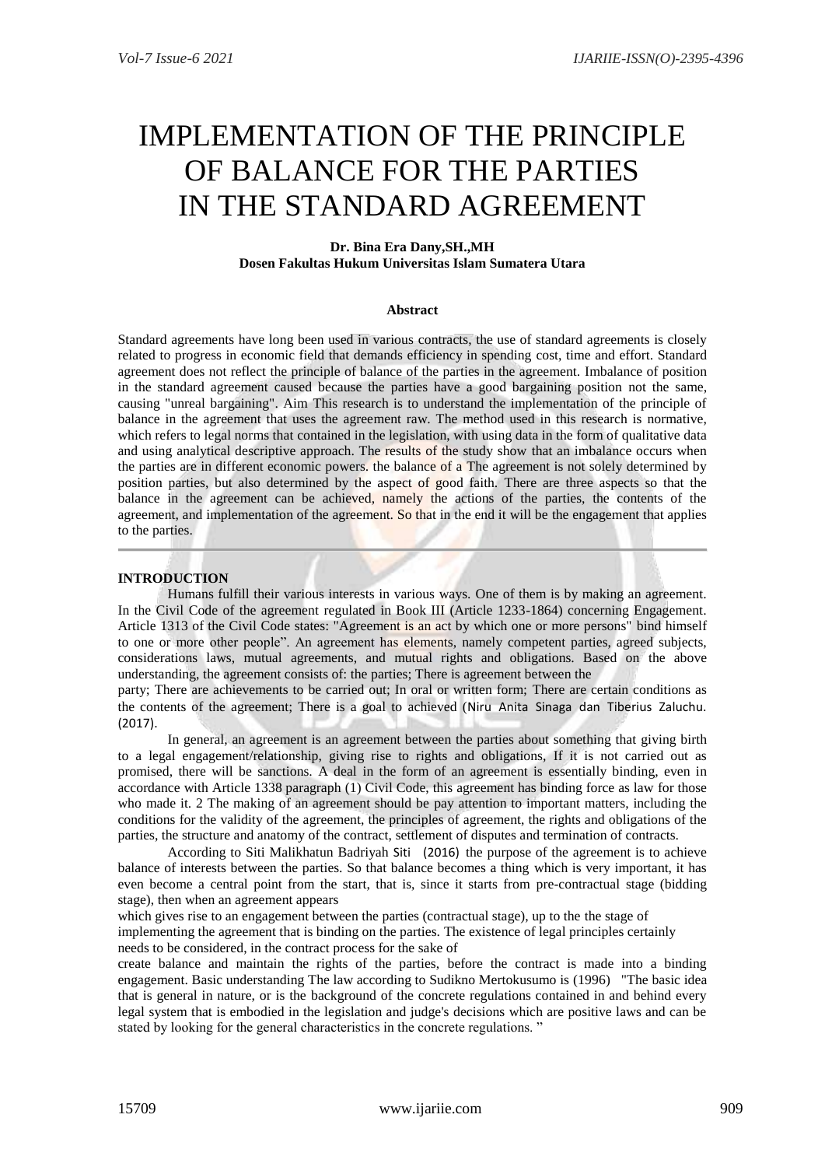# IMPLEMENTATION OF THE PRINCIPLE OF BALANCE FOR THE PARTIES IN THE STANDARD AGREEMENT

# **Dr. Bina Era Dany,SH.,MH Dosen Fakultas Hukum Universitas Islam Sumatera Utara**

### **Abstract**

Standard agreements have long been used in various contracts, the use of standard agreements is closely related to progress in economic field that demands efficiency in spending cost, time and effort. Standard agreement does not reflect the principle of balance of the parties in the agreement. Imbalance of position in the standard agreement caused because the parties have a good bargaining position not the same, causing "unreal bargaining". Aim This research is to understand the implementation of the principle of balance in the agreement that uses the agreement raw. The method used in this research is normative, which refers to legal norms that contained in the legislation, with using data in the form of qualitative data and using analytical descriptive approach. The results of the study show that an imbalance occurs when the parties are in different economic powers. the balance of a The agreement is not solely determined by position parties, but also determined by the aspect of good faith. There are three aspects so that the balance in the agreement can be achieved, namely the actions of the parties, the contents of the agreement, and implementation of the agreement. So that in the end it will be the engagement that applies to the parties.

# **INTRODUCTION**

Humans fulfill their various interests in various ways. One of them is by making an agreement. In the Civil Code of the agreement regulated in Book III (Article 1233-1864) concerning Engagement. Article 1313 of the Civil Code states: "Agreement is an act by which one or more persons" bind himself to one or more other people". An agreement has elements, namely competent parties, agreed subjects, considerations laws, mutual agreements, and mutual rights and obligations. Based on the above understanding, the agreement consists of: the parties; There is agreement between the

party; There are achievements to be carried out; In oral or written form; There are certain conditions as the contents of the agreement; There is a goal to achieved (Niru Anita Sinaga dan Tiberius Zaluchu. (2017).

In general, an agreement is an agreement between the parties about something that giving birth to a legal engagement/relationship, giving rise to rights and obligations, If it is not carried out as promised, there will be sanctions. A deal in the form of an agreement is essentially binding, even in accordance with Article 1338 paragraph (1) Civil Code, this agreement has binding force as law for those who made it. 2 The making of an agreement should be pay attention to important matters, including the conditions for the validity of the agreement, the principles of agreement, the rights and obligations of the parties, the structure and anatomy of the contract, settlement of disputes and termination of contracts.

According to Siti Malikhatun Badriyah Siti (2016) the purpose of the agreement is to achieve balance of interests between the parties. So that balance becomes a thing which is very important, it has even become a central point from the start, that is, since it starts from pre-contractual stage (bidding stage), then when an agreement appears

which gives rise to an engagement between the parties (contractual stage), up to the the stage of implementing the agreement that is binding on the parties. The existence of legal principles certainly needs to be considered, in the contract process for the sake of

create balance and maintain the rights of the parties, before the contract is made into a binding engagement. Basic understanding The law according to Sudikno Mertokusumo is (1996) "The basic idea that is general in nature, or is the background of the concrete regulations contained in and behind every legal system that is embodied in the legislation and judge's decisions which are positive laws and can be stated by looking for the general characteristics in the concrete regulations. "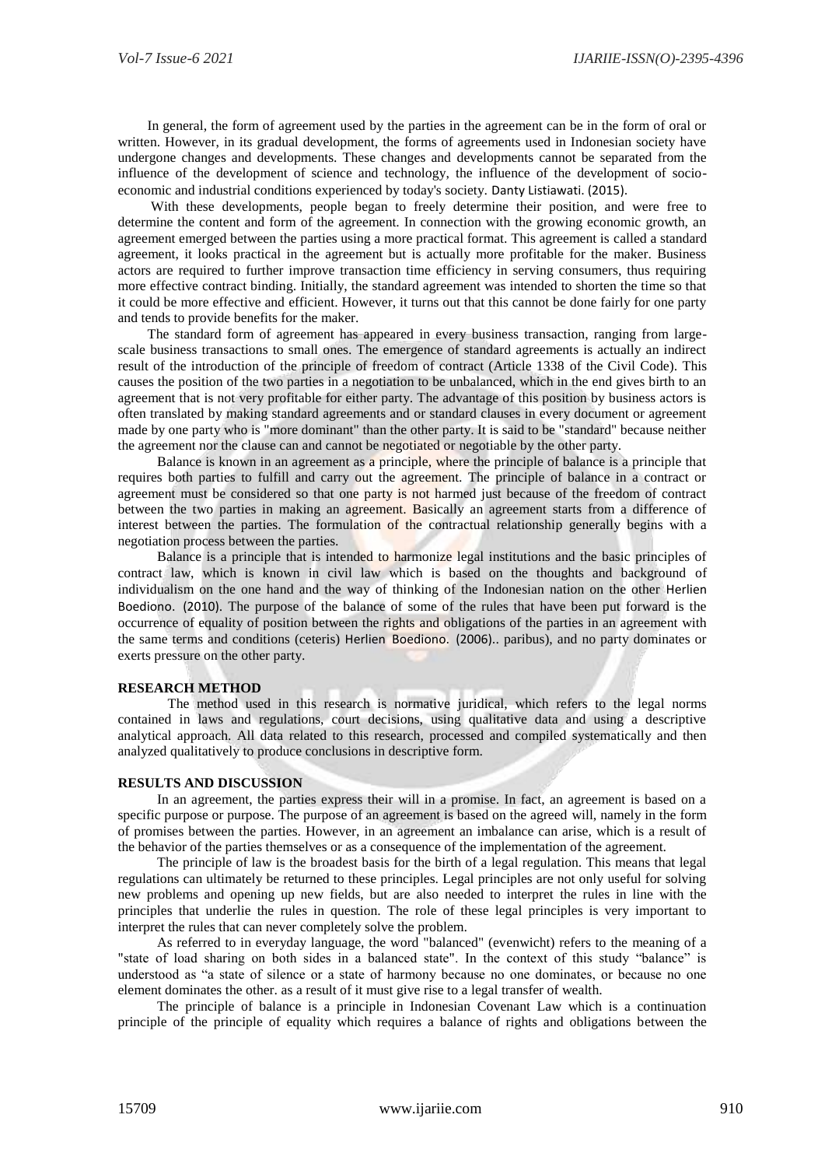In general, the form of agreement used by the parties in the agreement can be in the form of oral or written. However, in its gradual development, the forms of agreements used in Indonesian society have undergone changes and developments. These changes and developments cannot be separated from the influence of the development of science and technology, the influence of the development of socioeconomic and industrial conditions experienced by today's society. Danty Listiawati. (2015).

With these developments, people began to freely determine their position, and were free to determine the content and form of the agreement. In connection with the growing economic growth, an agreement emerged between the parties using a more practical format. This agreement is called a standard agreement, it looks practical in the agreement but is actually more profitable for the maker. Business actors are required to further improve transaction time efficiency in serving consumers, thus requiring more effective contract binding. Initially, the standard agreement was intended to shorten the time so that it could be more effective and efficient. However, it turns out that this cannot be done fairly for one party and tends to provide benefits for the maker.

The standard form of agreement has appeared in every business transaction, ranging from largescale business transactions to small ones. The emergence of standard agreements is actually an indirect result of the introduction of the principle of freedom of contract (Article 1338 of the Civil Code). This causes the position of the two parties in a negotiation to be unbalanced, which in the end gives birth to an agreement that is not very profitable for either party. The advantage of this position by business actors is often translated by making standard agreements and or standard clauses in every document or agreement made by one party who is "more dominant" than the other party. It is said to be "standard" because neither the agreement nor the clause can and cannot be negotiated or negotiable by the other party.

Balance is known in an agreement as a principle, where the principle of balance is a principle that requires both parties to fulfill and carry out the agreement. The principle of balance in a contract or agreement must be considered so that one party is not harmed just because of the freedom of contract between the two parties in making an agreement. Basically an agreement starts from a difference of interest between the parties. The formulation of the contractual relationship generally begins with a negotiation process between the parties.

Balance is a principle that is intended to harmonize legal institutions and the basic principles of contract law, which is known in civil law which is based on the thoughts and background of individualism on the one hand and the way of thinking of the Indonesian nation on the other Herlien Boediono. (2010). The purpose of the balance of some of the rules that have been put forward is the occurrence of equality of position between the rights and obligations of the parties in an agreement with the same terms and conditions (ceteris) Herlien Boediono. (2006).. paribus), and no party dominates or exerts pressure on the other party.

#### **RESEARCH METHOD**

The method used in this research is normative juridical, which refers to the legal norms contained in laws and regulations, court decisions, using qualitative data and using a descriptive analytical approach. All data related to this research, processed and compiled systematically and then analyzed qualitatively to produce conclusions in descriptive form.

#### **RESULTS AND DISCUSSION**

In an agreement, the parties express their will in a promise. In fact, an agreement is based on a specific purpose or purpose. The purpose of an agreement is based on the agreed will, namely in the form of promises between the parties. However, in an agreement an imbalance can arise, which is a result of the behavior of the parties themselves or as a consequence of the implementation of the agreement.

The principle of law is the broadest basis for the birth of a legal regulation. This means that legal regulations can ultimately be returned to these principles. Legal principles are not only useful for solving new problems and opening up new fields, but are also needed to interpret the rules in line with the principles that underlie the rules in question. The role of these legal principles is very important to interpret the rules that can never completely solve the problem.

As referred to in everyday language, the word "balanced" (evenwicht) refers to the meaning of a "state of load sharing on both sides in a balanced state". In the context of this study "balance" is understood as "a state of silence or a state of harmony because no one dominates, or because no one element dominates the other. as a result of it must give rise to a legal transfer of wealth.

The principle of balance is a principle in Indonesian Covenant Law which is a continuation principle of the principle of equality which requires a balance of rights and obligations between the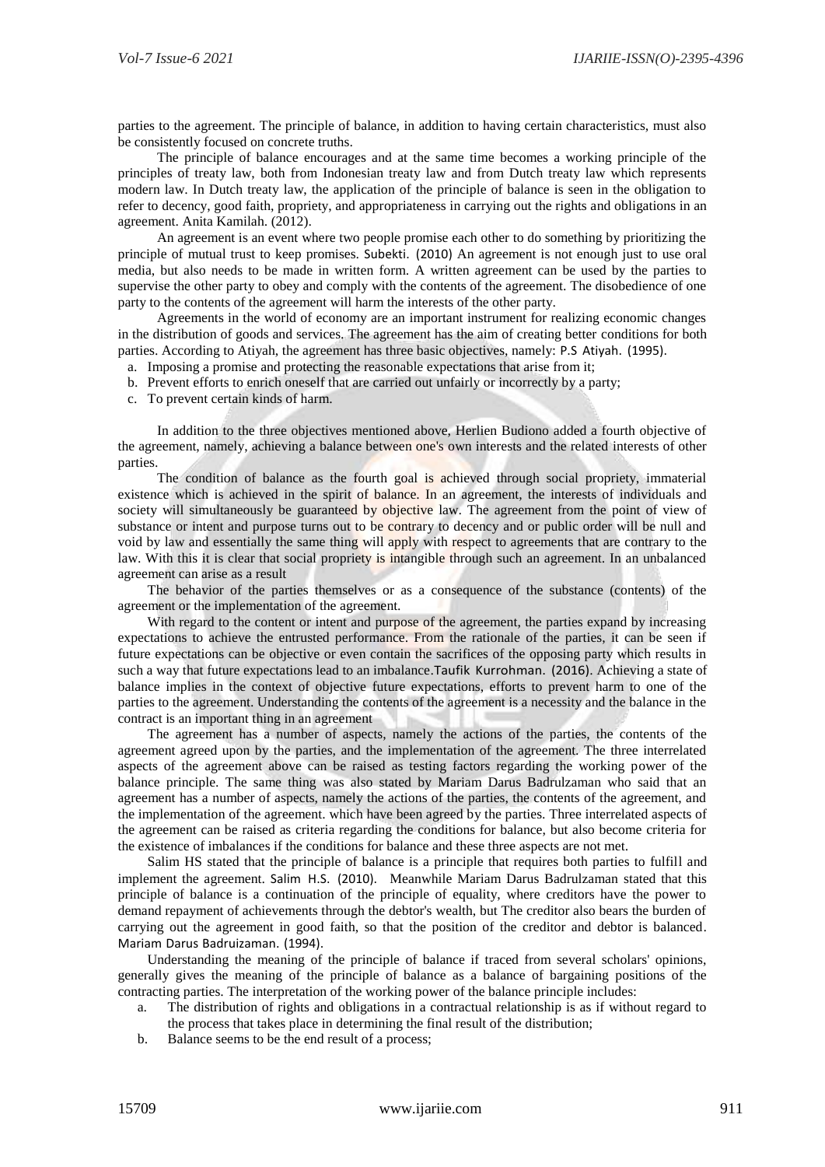parties to the agreement. The principle of balance, in addition to having certain characteristics, must also be consistently focused on concrete truths.

The principle of balance encourages and at the same time becomes a working principle of the principles of treaty law, both from Indonesian treaty law and from Dutch treaty law which represents modern law. In Dutch treaty law, the application of the principle of balance is seen in the obligation to refer to decency, good faith, propriety, and appropriateness in carrying out the rights and obligations in an agreement. Anita Kamilah. (2012).

An agreement is an event where two people promise each other to do something by prioritizing the principle of mutual trust to keep promises. Subekti. (2010) An agreement is not enough just to use oral media, but also needs to be made in written form. A written agreement can be used by the parties to supervise the other party to obey and comply with the contents of the agreement. The disobedience of one party to the contents of the agreement will harm the interests of the other party.

Agreements in the world of economy are an important instrument for realizing economic changes in the distribution of goods and services. The agreement has the aim of creating better conditions for both parties. According to Atiyah, the agreement has three basic objectives, namely: P.S Atiyah. (1995).

- a. Imposing a promise and protecting the reasonable expectations that arise from it;
- b. Prevent efforts to enrich oneself that are carried out unfairly or incorrectly by a party;
- c. To prevent certain kinds of harm.

In addition to the three objectives mentioned above, Herlien Budiono added a fourth objective of the agreement, namely, achieving a balance between one's own interests and the related interests of other parties.

The condition of balance as the fourth goal is achieved through social propriety, immaterial existence which is achieved in the spirit of balance. In an agreement, the interests of individuals and society will simultaneously be guaranteed by objective law. The agreement from the point of view of substance or intent and purpose turns out to be contrary to decency and or public order will be null and void by law and essentially the same thing will apply with respect to agreements that are contrary to the law. With this it is clear that social propriety is intangible through such an agreement. In an unbalanced agreement can arise as a result

The behavior of the parties themselves or as a consequence of the substance (contents) of the agreement or the implementation of the agreement.

With regard to the content or intent and purpose of the agreement, the parties expand by increasing expectations to achieve the entrusted performance. From the rationale of the parties, it can be seen if future expectations can be objective or even contain the sacrifices of the opposing party which results in such a way that future expectations lead to an imbalance.Taufik Kurrohman. (2016). Achieving a state of balance implies in the context of objective future expectations, efforts to prevent harm to one of the parties to the agreement. Understanding the contents of the agreement is a necessity and the balance in the contract is an important thing in an agreement

The agreement has a number of aspects, namely the actions of the parties, the contents of the agreement agreed upon by the parties, and the implementation of the agreement. The three interrelated aspects of the agreement above can be raised as testing factors regarding the working power of the balance principle. The same thing was also stated by Mariam Darus Badrulzaman who said that an agreement has a number of aspects, namely the actions of the parties, the contents of the agreement, and the implementation of the agreement. which have been agreed by the parties. Three interrelated aspects of the agreement can be raised as criteria regarding the conditions for balance, but also become criteria for the existence of imbalances if the conditions for balance and these three aspects are not met.

Salim HS stated that the principle of balance is a principle that requires both parties to fulfill and implement the agreement. Salim H.S. (2010). Meanwhile Mariam Darus Badrulzaman stated that this principle of balance is a continuation of the principle of equality, where creditors have the power to demand repayment of achievements through the debtor's wealth, but The creditor also bears the burden of carrying out the agreement in good faith, so that the position of the creditor and debtor is balanced. Mariam Darus Badruizaman. (1994).

Understanding the meaning of the principle of balance if traced from several scholars' opinions, generally gives the meaning of the principle of balance as a balance of bargaining positions of the contracting parties. The interpretation of the working power of the balance principle includes:

- a. The distribution of rights and obligations in a contractual relationship is as if without regard to the process that takes place in determining the final result of the distribution;
- b. Balance seems to be the end result of a process;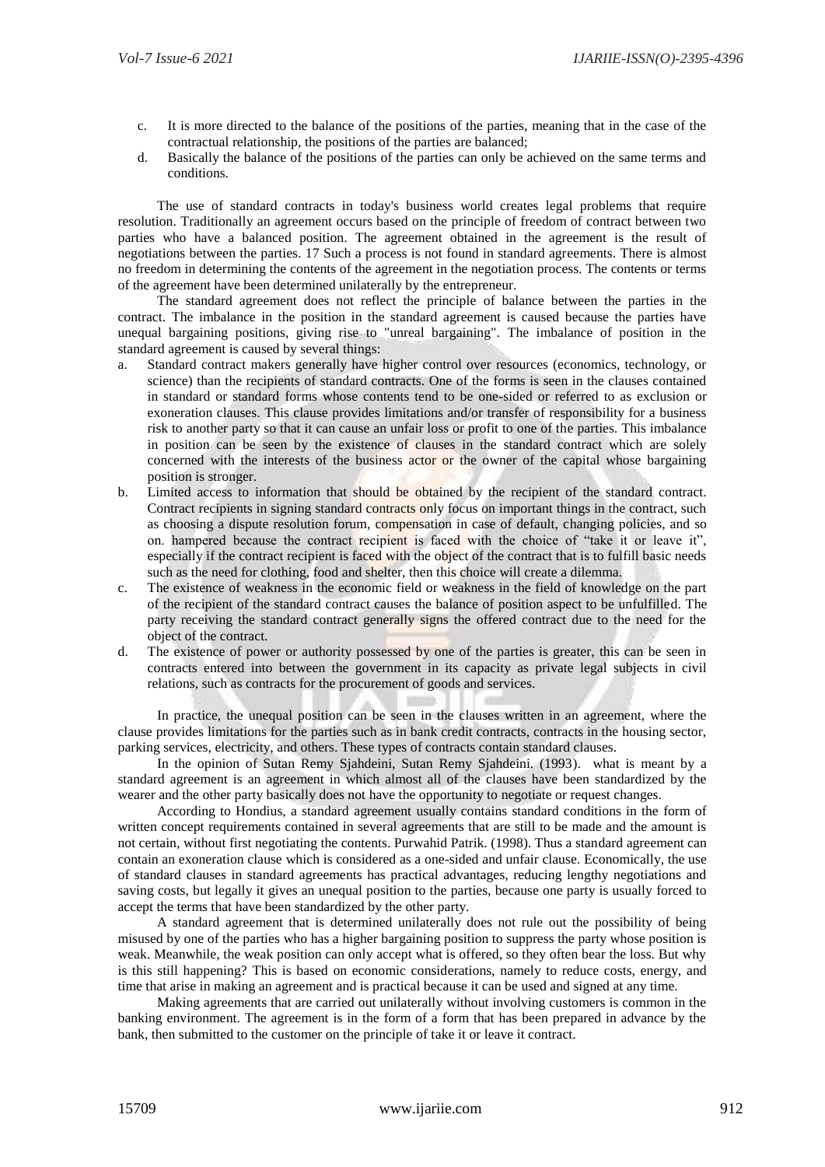- c. It is more directed to the balance of the positions of the parties, meaning that in the case of the contractual relationship, the positions of the parties are balanced;
- d. Basically the balance of the positions of the parties can only be achieved on the same terms and conditions.

The use of standard contracts in today's business world creates legal problems that require resolution. Traditionally an agreement occurs based on the principle of freedom of contract between two parties who have a balanced position. The agreement obtained in the agreement is the result of negotiations between the parties. 17 Such a process is not found in standard agreements. There is almost no freedom in determining the contents of the agreement in the negotiation process. The contents or terms of the agreement have been determined unilaterally by the entrepreneur.

The standard agreement does not reflect the principle of balance between the parties in the contract. The imbalance in the position in the standard agreement is caused because the parties have unequal bargaining positions, giving rise to "unreal bargaining". The imbalance of position in the standard agreement is caused by several things:

- a. Standard contract makers generally have higher control over resources (economics, technology, or science) than the recipients of standard contracts. One of the forms is seen in the clauses contained in standard or standard forms whose contents tend to be one-sided or referred to as exclusion or exoneration clauses. This clause provides limitations and/or transfer of responsibility for a business risk to another party so that it can cause an unfair loss or profit to one of the parties. This imbalance in position can be seen by the existence of clauses in the standard contract which are solely concerned with the interests of the business actor or the owner of the capital whose bargaining position is stronger.
- b. Limited access to information that should be obtained by the recipient of the standard contract. Contract recipients in signing standard contracts only focus on important things in the contract, such as choosing a dispute resolution forum, compensation in case of default, changing policies, and so on. hampered because the contract recipient is faced with the choice of "take it or leave it", especially if the contract recipient is faced with the object of the contract that is to fulfill basic needs such as the need for clothing, food and shelter, then this choice will create a dilemma.
- c. The existence of weakness in the economic field or weakness in the field of knowledge on the part of the recipient of the standard contract causes the balance of position aspect to be unfulfilled. The party receiving the standard contract generally signs the offered contract due to the need for the object of the contract.
- d. The existence of power or authority possessed by one of the parties is greater, this can be seen in contracts entered into between the government in its capacity as private legal subjects in civil relations, such as contracts for the procurement of goods and services.

In practice, the unequal position can be seen in the clauses written in an agreement, where the clause provides limitations for the parties such as in bank credit contracts, contracts in the housing sector, parking services, electricity, and others. These types of contracts contain standard clauses.

In the opinion of Sutan Remy Sjahdeini, Sutan Remy Sjahdeini. (1993). what is meant by a standard agreement is an agreement in which almost all of the clauses have been standardized by the wearer and the other party basically does not have the opportunity to negotiate or request changes.

According to Hondius, a standard agreement usually contains standard conditions in the form of written concept requirements contained in several agreements that are still to be made and the amount is not certain, without first negotiating the contents. Purwahid Patrik. (1998). Thus a standard agreement can contain an exoneration clause which is considered as a one-sided and unfair clause. Economically, the use of standard clauses in standard agreements has practical advantages, reducing lengthy negotiations and saving costs, but legally it gives an unequal position to the parties, because one party is usually forced to accept the terms that have been standardized by the other party.

A standard agreement that is determined unilaterally does not rule out the possibility of being misused by one of the parties who has a higher bargaining position to suppress the party whose position is weak. Meanwhile, the weak position can only accept what is offered, so they often bear the loss. But why is this still happening? This is based on economic considerations, namely to reduce costs, energy, and time that arise in making an agreement and is practical because it can be used and signed at any time.

Making agreements that are carried out unilaterally without involving customers is common in the banking environment. The agreement is in the form of a form that has been prepared in advance by the bank, then submitted to the customer on the principle of take it or leave it contract.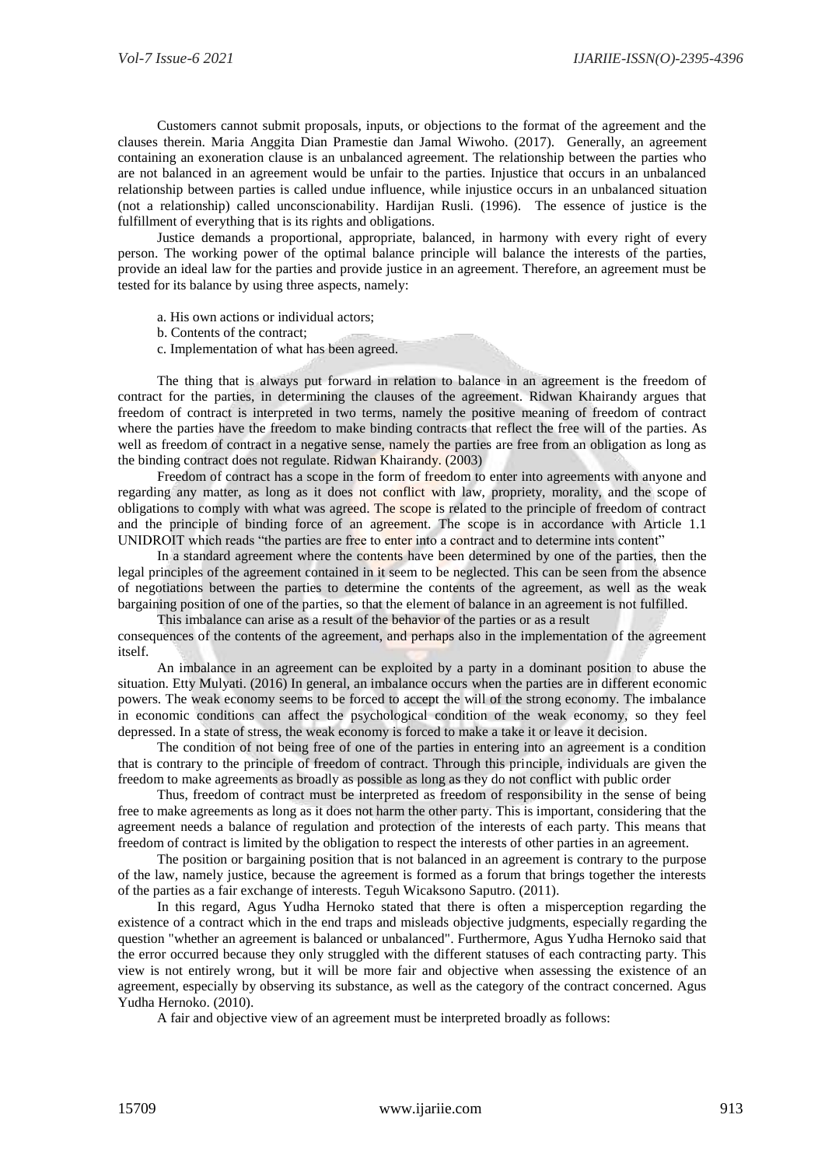Customers cannot submit proposals, inputs, or objections to the format of the agreement and the clauses therein. Maria Anggita Dian Pramestie dan Jamal Wiwoho. (2017). Generally, an agreement containing an exoneration clause is an unbalanced agreement. The relationship between the parties who are not balanced in an agreement would be unfair to the parties. Injustice that occurs in an unbalanced relationship between parties is called undue influence, while injustice occurs in an unbalanced situation (not a relationship) called unconscionability. Hardijan Rusli. (1996). The essence of justice is the fulfillment of everything that is its rights and obligations.

Justice demands a proportional, appropriate, balanced, in harmony with every right of every person. The working power of the optimal balance principle will balance the interests of the parties, provide an ideal law for the parties and provide justice in an agreement. Therefore, an agreement must be tested for its balance by using three aspects, namely:

- a. His own actions or individual actors;
- b. Contents of the contract;
- c. Implementation of what has been agreed.

The thing that is always put forward in relation to balance in an agreement is the freedom of contract for the parties, in determining the clauses of the agreement. Ridwan Khairandy argues that freedom of contract is interpreted in two terms, namely the positive meaning of freedom of contract where the parties have the freedom to make binding contracts that reflect the free will of the parties. As well as freedom of contract in a negative sense, namely the parties are free from an obligation as long as the binding contract does not regulate. Ridwan Khairandy. (2003)

Freedom of contract has a scope in the form of freedom to enter into agreements with anyone and regarding any matter, as long as it does not conflict with law, propriety, morality, and the scope of obligations to comply with what was agreed. The scope is related to the principle of freedom of contract and the principle of binding force of an agreement. The scope is in accordance with Article 1.1 UNIDROIT which reads "the parties are free to enter into a contract and to determine ints content"

In a standard agreement where the contents have been determined by one of the parties, then the legal principles of the agreement contained in it seem to be neglected. This can be seen from the absence of negotiations between the parties to determine the contents of the agreement, as well as the weak bargaining position of one of the parties, so that the element of balance in an agreement is not fulfilled.

This imbalance can arise as a result of the behavior of the parties or as a result consequences of the contents of the agreement, and perhaps also in the implementation of the agreement itself.

An imbalance in an agreement can be exploited by a party in a dominant position to abuse the situation. Etty Mulyati. (2016) In general, an imbalance occurs when the parties are in different economic powers. The weak economy seems to be forced to accept the will of the strong economy. The imbalance in economic conditions can affect the psychological condition of the weak economy, so they feel depressed. In a state of stress, the weak economy is forced to make a take it or leave it decision.

The condition of not being free of one of the parties in entering into an agreement is a condition that is contrary to the principle of freedom of contract. Through this principle, individuals are given the freedom to make agreements as broadly as possible as long as they do not conflict with public order

Thus, freedom of contract must be interpreted as freedom of responsibility in the sense of being free to make agreements as long as it does not harm the other party. This is important, considering that the agreement needs a balance of regulation and protection of the interests of each party. This means that freedom of contract is limited by the obligation to respect the interests of other parties in an agreement.

The position or bargaining position that is not balanced in an agreement is contrary to the purpose of the law, namely justice, because the agreement is formed as a forum that brings together the interests of the parties as a fair exchange of interests. Teguh Wicaksono Saputro. (2011).

In this regard, Agus Yudha Hernoko stated that there is often a misperception regarding the existence of a contract which in the end traps and misleads objective judgments, especially regarding the question "whether an agreement is balanced or unbalanced". Furthermore, Agus Yudha Hernoko said that the error occurred because they only struggled with the different statuses of each contracting party. This view is not entirely wrong, but it will be more fair and objective when assessing the existence of an agreement, especially by observing its substance, as well as the category of the contract concerned. Agus Yudha Hernoko. (2010).

A fair and objective view of an agreement must be interpreted broadly as follows: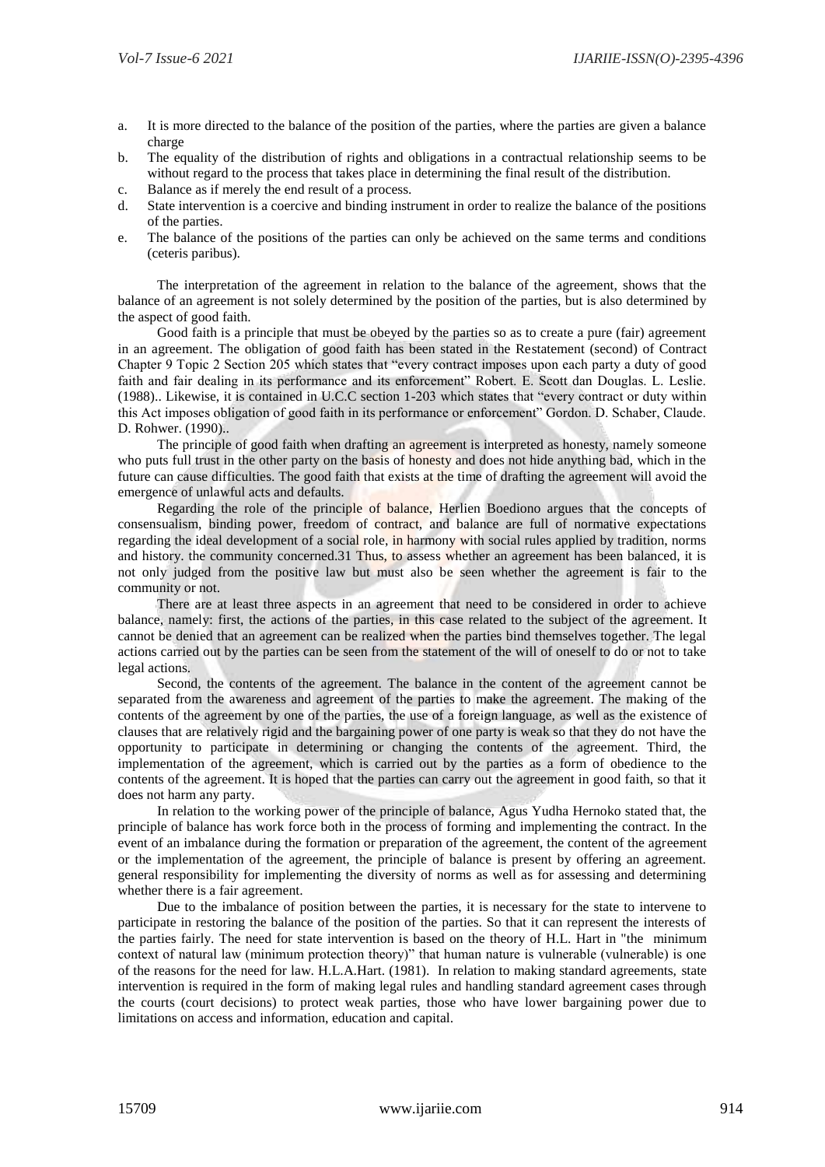- a. It is more directed to the balance of the position of the parties, where the parties are given a balance charge
- b. The equality of the distribution of rights and obligations in a contractual relationship seems to be without regard to the process that takes place in determining the final result of the distribution.
- c. Balance as if merely the end result of a process.
- d. State intervention is a coercive and binding instrument in order to realize the balance of the positions of the parties.
- e. The balance of the positions of the parties can only be achieved on the same terms and conditions (ceteris paribus).

The interpretation of the agreement in relation to the balance of the agreement, shows that the balance of an agreement is not solely determined by the position of the parties, but is also determined by the aspect of good faith.

Good faith is a principle that must be obeyed by the parties so as to create a pure (fair) agreement in an agreement. The obligation of good faith has been stated in the Restatement (second) of Contract Chapter 9 Topic 2 Section 205 which states that "every contract imposes upon each party a duty of good faith and fair dealing in its performance and its enforcement" Robert. E. Scott dan Douglas. L. Leslie. (1988).. Likewise, it is contained in U.C.C section 1-203 which states that "every contract or duty within this Act imposes obligation of good faith in its performance or enforcement" Gordon. D. Schaber, Claude. D. Rohwer. (1990)..

The principle of good faith when drafting an agreement is interpreted as honesty, namely someone who puts full trust in the other party on the basis of honesty and does not hide anything bad, which in the future can cause difficulties. The good faith that exists at the time of drafting the agreement will avoid the emergence of unlawful acts and defaults.

Regarding the role of the principle of balance, Herlien Boediono argues that the concepts of consensualism, binding power, freedom of contract, and balance are full of normative expectations regarding the ideal development of a social role, in harmony with social rules applied by tradition, norms and history. the community concerned.31 Thus, to assess whether an agreement has been balanced, it is not only judged from the positive law but must also be seen whether the agreement is fair to the community or not.

There are at least three aspects in an agreement that need to be considered in order to achieve balance, namely: first, the actions of the parties, in this case related to the subject of the agreement. It cannot be denied that an agreement can be realized when the parties bind themselves together. The legal actions carried out by the parties can be seen from the statement of the will of oneself to do or not to take legal actions.

Second, the contents of the agreement. The balance in the content of the agreement cannot be separated from the awareness and agreement of the parties to make the agreement. The making of the contents of the agreement by one of the parties, the use of a foreign language, as well as the existence of clauses that are relatively rigid and the bargaining power of one party is weak so that they do not have the opportunity to participate in determining or changing the contents of the agreement. Third, the implementation of the agreement, which is carried out by the parties as a form of obedience to the contents of the agreement. It is hoped that the parties can carry out the agreement in good faith, so that it does not harm any party.

In relation to the working power of the principle of balance, Agus Yudha Hernoko stated that, the principle of balance has work force both in the process of forming and implementing the contract. In the event of an imbalance during the formation or preparation of the agreement, the content of the agreement or the implementation of the agreement, the principle of balance is present by offering an agreement. general responsibility for implementing the diversity of norms as well as for assessing and determining whether there is a fair agreement.

Due to the imbalance of position between the parties, it is necessary for the state to intervene to participate in restoring the balance of the position of the parties. So that it can represent the interests of the parties fairly. The need for state intervention is based on the theory of H.L. Hart in "the minimum context of natural law (minimum protection theory)" that human nature is vulnerable (vulnerable) is one of the reasons for the need for law. H.L.A.Hart. (1981). In relation to making standard agreements, state intervention is required in the form of making legal rules and handling standard agreement cases through the courts (court decisions) to protect weak parties, those who have lower bargaining power due to limitations on access and information, education and capital.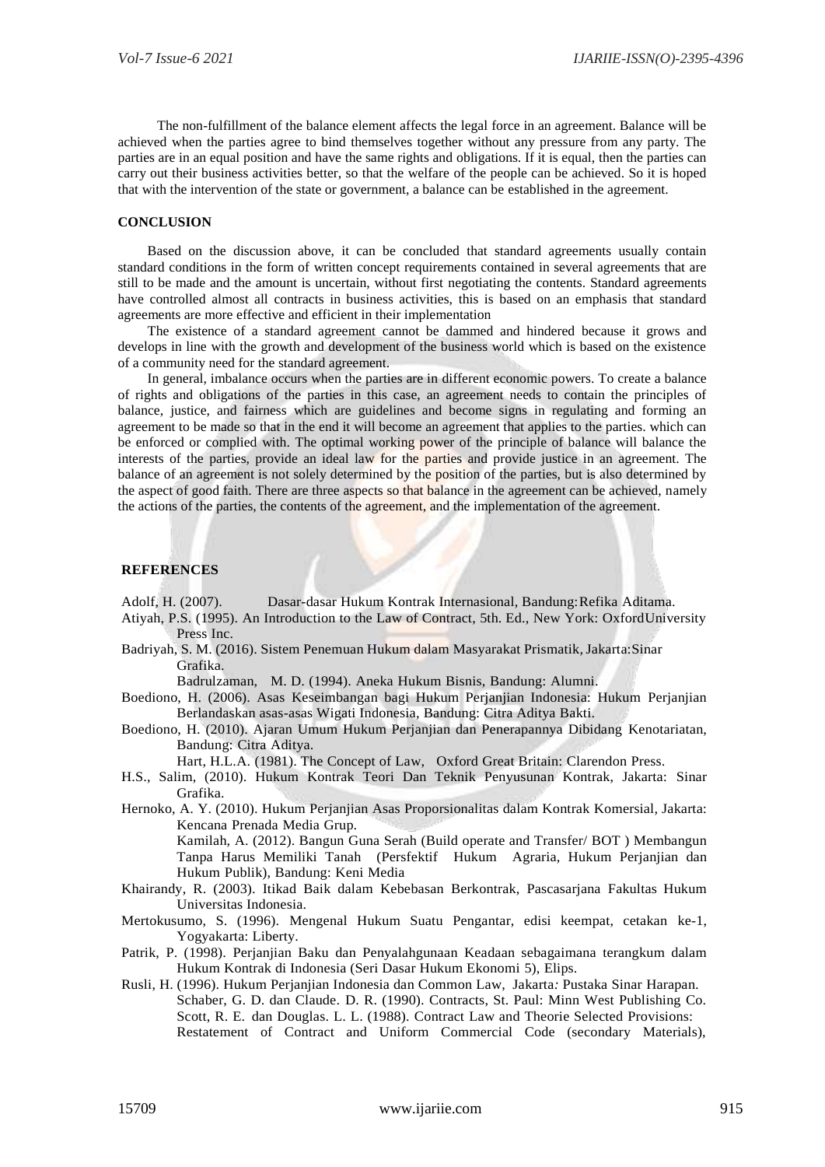The non-fulfillment of the balance element affects the legal force in an agreement. Balance will be achieved when the parties agree to bind themselves together without any pressure from any party. The parties are in an equal position and have the same rights and obligations. If it is equal, then the parties can carry out their business activities better, so that the welfare of the people can be achieved. So it is hoped that with the intervention of the state or government, a balance can be established in the agreement.

#### **CONCLUSION**

Based on the discussion above, it can be concluded that standard agreements usually contain standard conditions in the form of written concept requirements contained in several agreements that are still to be made and the amount is uncertain, without first negotiating the contents. Standard agreements have controlled almost all contracts in business activities, this is based on an emphasis that standard agreements are more effective and efficient in their implementation

The existence of a standard agreement cannot be dammed and hindered because it grows and develops in line with the growth and development of the business world which is based on the existence of a community need for the standard agreement.

In general, imbalance occurs when the parties are in different economic powers. To create a balance of rights and obligations of the parties in this case, an agreement needs to contain the principles of balance, justice, and fairness which are guidelines and become signs in regulating and forming an agreement to be made so that in the end it will become an agreement that applies to the parties. which can be enforced or complied with. The optimal working power of the principle of balance will balance the interests of the parties, provide an ideal law for the parties and provide justice in an agreement. The balance of an agreement is not solely determined by the position of the parties, but is also determined by the aspect of good faith. There are three aspects so that balance in the agreement can be achieved, namely the actions of the parties, the contents of the agreement, and the implementation of the agreement.

## **REFERENCES**

Adolf, H. (2007). Dasar-dasar Hukum Kontrak Internasional, Bandung:Refika Aditama.

- Atiyah, P.S. (1995). An Introduction to the Law of Contract, 5th. Ed., New York: OxfordUniversity Press Inc.
- Badriyah, S. M. (2016). Sistem Penemuan Hukum dalam Masyarakat Prismatik*,*Jakarta:Sinar Grafika.

Badrulzaman, M. D. (1994). Aneka Hukum Bisnis, Bandung: Alumni.

Boediono, H. (2006). Asas Keseimbangan bagi Hukum Perjanjian Indonesia: Hukum Perjanjian Berlandaskan asas-asas Wigati Indonesia, Bandung: Citra Aditya Bakti.

Boediono, H. (2010). Ajaran Umum Hukum Perjanjian dan Penerapannya Dibidang Kenotariatan, Bandung: Citra Aditya.

Hart, H.L.A. (1981). The Concept of Law, Oxford Great Britain: Clarendon Press.

H.S., Salim, (2010). Hukum Kontrak Teori Dan Teknik Penyusunan Kontrak, Jakarta: Sinar Grafika.

Hernoko, A. Y. (2010). Hukum Perjanjian Asas Proporsionalitas dalam Kontrak Komersial*,* Jakarta: Kencana Prenada Media Grup.

Kamilah, A. (2012). Bangun Guna Serah (Build operate and Transfer/ BOT ) Membangun Tanpa Harus Memiliki Tanah (Persfektif Hukum Agraria, Hukum Perjanjian dan Hukum Publik), Bandung: Keni Media

- Khairandy, R. (2003). Itikad Baik dalam Kebebasan Berkontrak, Pascasarjana Fakultas Hukum Universitas Indonesia.
- Mertokusumo, S. (1996). Mengenal Hukum Suatu Pengantar, edisi keempat, cetakan ke-1, Yogyakarta: Liberty.
- Patrik, P. (1998). Perjanjian Baku dan Penyalahgunaan Keadaan sebagaimana terangkum dalam Hukum Kontrak di Indonesia (Seri Dasar Hukum Ekonomi 5), Elips.
- Rusli, H. (1996). Hukum Perjanjian Indonesia dan Common Law, Jakarta*:* Pustaka Sinar Harapan. Schaber, G. D. dan Claude. D. R. (1990). Contracts, St. Paul: Minn West Publishing Co. Scott, R. E. dan Douglas. L. L. (1988). Contract Law and Theorie Selected Provisions: Restatement of Contract and Uniform Commercial Code (secondary Materials),